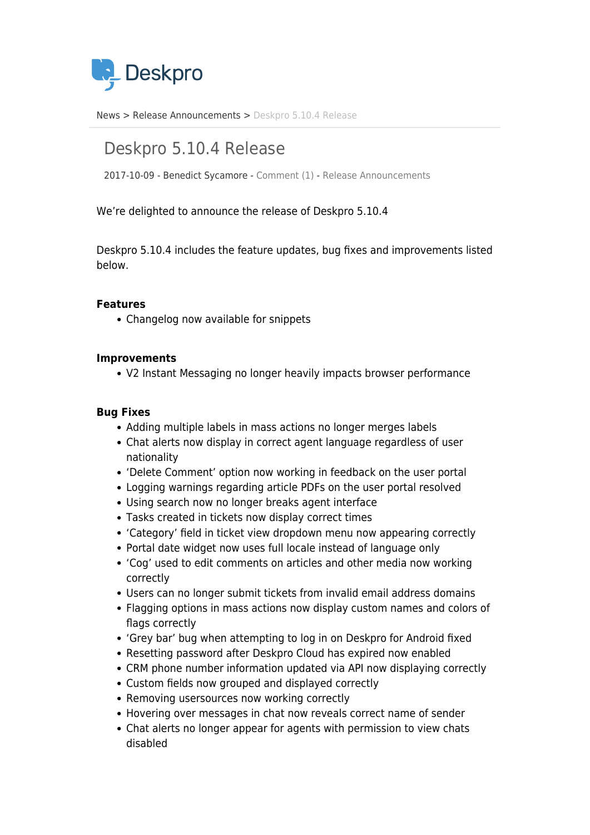

[News](https://support.deskpro.com/ro/news) > [Release Announcements](https://support.deskpro.com/ro/news/release-announcements) > [Deskpro 5.10.4 Release](https://support.deskpro.com/ro/news/posts/deskpro-5-10-4-release)

# Deskpro 5.10.4 Release

2017-10-09 - Benedict Sycamore - [Comment \(1\)](#page--1-0) - [Release Announcements](https://support.deskpro.com/ro/news/release-announcements)

We're delighted to announce the release of Deskpro 5.10.4

Deskpro 5.10.4 includes the feature updates, bug fixes and improvements listed below.

## **Features**

Changelog now available for snippets

#### **Improvements**

V2 Instant Messaging no longer heavily impacts browser performance

### **Bug Fixes**

- Adding multiple labels in mass actions no longer merges labels
- Chat alerts now display in correct agent language regardless of user nationality
- 'Delete Comment' option now working in feedback on the user portal
- Logging warnings regarding article PDFs on the user portal resolved
- Using search now no longer breaks agent interface
- Tasks created in tickets now display correct times
- 'Category' field in ticket view dropdown menu now appearing correctly
- Portal date widget now uses full locale instead of language only
- 'Cog' used to edit comments on articles and other media now working correctly
- Users can no longer submit tickets from invalid email address domains
- Flagging options in mass actions now display custom names and colors of flags correctly
- 'Grey bar' bug when attempting to log in on Deskpro for Android fixed
- Resetting password after Deskpro Cloud has expired now enabled
- CRM phone number information updated via API now displaying correctly
- Custom fields now grouped and displayed correctly
- Removing usersources now working correctly
- Hovering over messages in chat now reveals correct name of sender
- Chat alerts no longer appear for agents with permission to view chats disabled